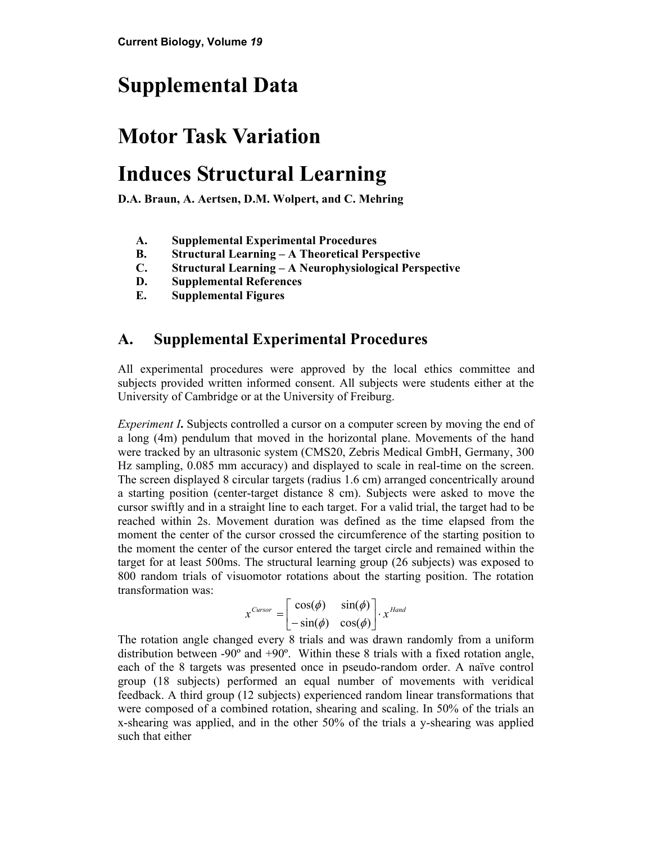# **Supplemental Data**

# **Motor Task Variation**

# **Induces Structural Learning**

**D.A. Braun, A. Aertsen, D.M. Wolpert, and C. Mehring** 

- **A. Supplemental Experimental Procedures**
- **B. Structural Learning A Theoretical Perspective**
- **C. Structural Learning A Neurophysiological Perspective**
- **D. Supplemental References**
- **E. Supplemental Figures**

### **A. Supplemental Experimental Procedures**

All experimental procedures were approved by the local ethics committee and subjects provided written informed consent. All subjects were students either at the University of Cambridge or at the University of Freiburg.

*Experiment I***.** Subjects controlled a cursor on a computer screen by moving the end of a long (4m) pendulum that moved in the horizontal plane. Movements of the hand were tracked by an ultrasonic system (CMS20, Zebris Medical GmbH, Germany, 300 Hz sampling, 0.085 mm accuracy) and displayed to scale in real-time on the screen. The screen displayed 8 circular targets (radius 1.6 cm) arranged concentrically around a starting position (center-target distance 8 cm). Subjects were asked to move the cursor swiftly and in a straight line to each target. For a valid trial, the target had to be reached within 2s. Movement duration was defined as the time elapsed from the moment the center of the cursor crossed the circumference of the starting position to the moment the center of the cursor entered the target circle and remained within the target for at least 500ms. The structural learning group (26 subjects) was exposed to 800 random trials of visuomotor rotations about the starting position. The rotation transformation was:

$$
x^{Cursor} = \begin{bmatrix} \cos(\phi) & \sin(\phi) \\ -\sin(\phi) & \cos(\phi) \end{bmatrix} \cdot x^{Hand}
$$

The rotation angle changed every 8 trials and was drawn randomly from a uniform distribution between -90º and +90º. Within these 8 trials with a fixed rotation angle, each of the 8 targets was presented once in pseudo-random order. A naïve control group (18 subjects) performed an equal number of movements with veridical feedback. A third group (12 subjects) experienced random linear transformations that were composed of a combined rotation, shearing and scaling. In 50% of the trials an x-shearing was applied, and in the other 50% of the trials a y-shearing was applied such that either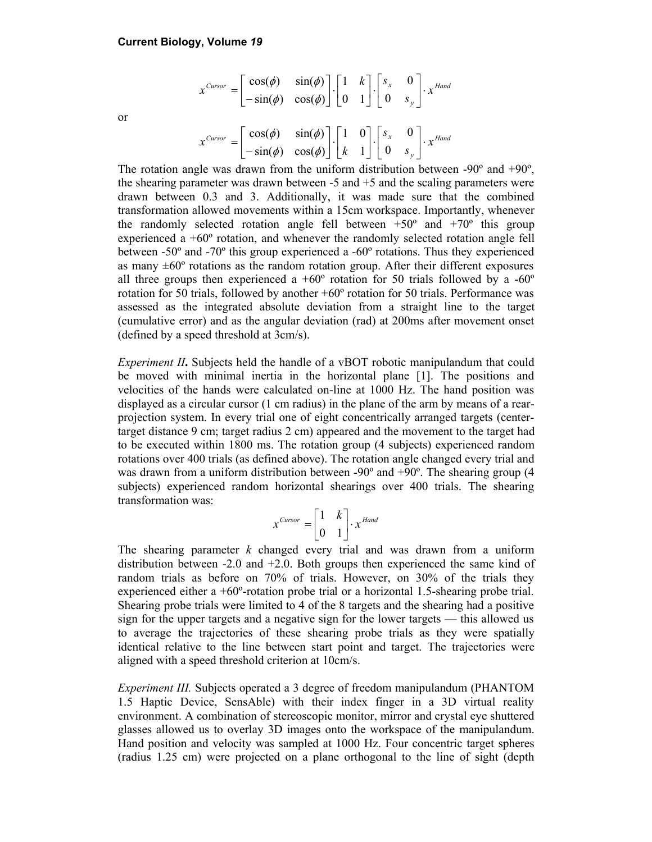$$
x^{Cursor} = \begin{bmatrix} \cos(\phi) & \sin(\phi) \\ -\sin(\phi) & \cos(\phi) \end{bmatrix} \cdot \begin{bmatrix} 1 & k \\ 0 & 1 \end{bmatrix} \cdot \begin{bmatrix} s_x & 0 \\ 0 & s_y \end{bmatrix} \cdot x^{Hand}
$$

$$
x^{Cursor} = \begin{bmatrix} \cos(\phi) & \sin(\phi) \\ -\sin(\phi) & \cos(\phi) \end{bmatrix} \cdot \begin{bmatrix} 1 & 0 \\ k & 1 \end{bmatrix} \cdot \begin{bmatrix} s_x & 0 \\ 0 & s_y \end{bmatrix} \cdot x^{Hand}
$$

The rotation angle was drawn from the uniform distribution between  $-90^\circ$  and  $+90^\circ$ , the shearing parameter was drawn between  $-5$  and  $+5$  and the scaling parameters were drawn between 0.3 and 3. Additionally, it was made sure that the combined transformation allowed movements within a 15cm workspace. Importantly, whenever the randomly selected rotation angle fell between  $+50^{\circ}$  and  $+70^{\circ}$  this group experienced a +60º rotation, and whenever the randomly selected rotation angle fell between -50º and -70º this group experienced a -60º rotations. Thus they experienced as many  $\pm 60^\circ$  rotations as the random rotation group. After their different exposures all three groups then experienced a  $+60^{\circ}$  rotation for 50 trials followed by a  $-60^{\circ}$ rotation for 50 trials, followed by another +60º rotation for 50 trials. Performance was assessed as the integrated absolute deviation from a straight line to the target (cumulative error) and as the angular deviation (rad) at 200ms after movement onset (defined by a speed threshold at 3cm/s).

*Experiment II***.** Subjects held the handle of a vBOT robotic manipulandum that could be moved with minimal inertia in the horizontal plane [1]. The positions and velocities of the hands were calculated on-line at 1000 Hz. The hand position was displayed as a circular cursor (1 cm radius) in the plane of the arm by means of a rearprojection system. In every trial one of eight concentrically arranged targets (centertarget distance 9 cm; target radius 2 cm) appeared and the movement to the target had to be executed within 1800 ms. The rotation group (4 subjects) experienced random rotations over 400 trials (as defined above). The rotation angle changed every trial and was drawn from a uniform distribution between -90<sup>°</sup> and +90<sup>°</sup>. The shearing group (4 subjects) experienced random horizontal shearings over 400 trials. The shearing transformation was:

$$
x^{Cursor} = \begin{bmatrix} 1 & k \\ 0 & 1 \end{bmatrix} \cdot x^{Hand}
$$

The shearing parameter *k* changed every trial and was drawn from a uniform distribution between -2.0 and +2.0. Both groups then experienced the same kind of random trials as before on 70% of trials. However, on 30% of the trials they experienced either a  $+60^\circ$ -rotation probe trial or a horizontal 1.5-shearing probe trial. Shearing probe trials were limited to 4 of the 8 targets and the shearing had a positive sign for the upper targets and a negative sign for the lower targets — this allowed us to average the trajectories of these shearing probe trials as they were spatially identical relative to the line between start point and target. The trajectories were aligned with a speed threshold criterion at 10cm/s.

*Experiment III.* Subjects operated a 3 degree of freedom manipulandum (PHANTOM 1.5 Haptic Device, SensAble) with their index finger in a 3D virtual reality environment. A combination of stereoscopic monitor, mirror and crystal eye shuttered glasses allowed us to overlay 3D images onto the workspace of the manipulandum. Hand position and velocity was sampled at 1000 Hz. Four concentric target spheres (radius 1.25 cm) were projected on a plane orthogonal to the line of sight (depth

or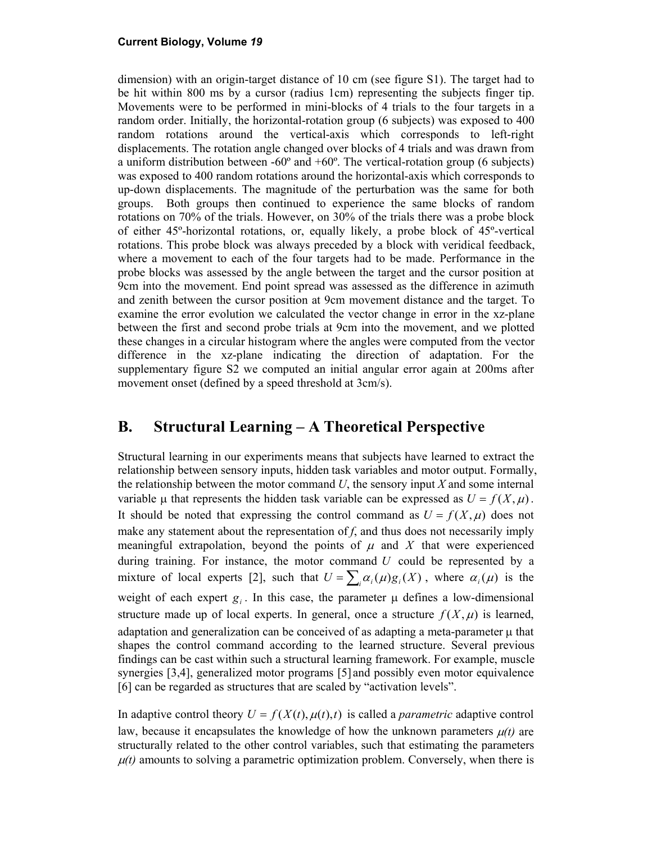dimension) with an origin-target distance of 10 cm (see figure S1). The target had to be hit within 800 ms by a cursor (radius 1cm) representing the subjects finger tip. Movements were to be performed in mini-blocks of 4 trials to the four targets in a random order. Initially, the horizontal-rotation group (6 subjects) was exposed to 400 random rotations around the vertical-axis which corresponds to left-right displacements. The rotation angle changed over blocks of 4 trials and was drawn from a uniform distribution between  $-60^{\circ}$  and  $+60^{\circ}$ . The vertical-rotation group (6 subjects) was exposed to 400 random rotations around the horizontal-axis which corresponds to up-down displacements. The magnitude of the perturbation was the same for both groups. Both groups then continued to experience the same blocks of random rotations on 70% of the trials. However, on 30% of the trials there was a probe block of either 45º-horizontal rotations, or, equally likely, a probe block of 45º-vertical rotations. This probe block was always preceded by a block with veridical feedback, where a movement to each of the four targets had to be made. Performance in the probe blocks was assessed by the angle between the target and the cursor position at 9cm into the movement. End point spread was assessed as the difference in azimuth and zenith between the cursor position at 9cm movement distance and the target. To examine the error evolution we calculated the vector change in error in the xz-plane between the first and second probe trials at 9cm into the movement, and we plotted these changes in a circular histogram where the angles were computed from the vector difference in the xz-plane indicating the direction of adaptation. For the supplementary figure S2 we computed an initial angular error again at 200ms after movement onset (defined by a speed threshold at 3cm/s).

### **B. Structural Learning – A Theoretical Perspective**

Structural learning in our experiments means that subjects have learned to extract the relationship between sensory inputs, hidden task variables and motor output. Formally, the relationship between the motor command *U*, the sensory input *X* and some internal variable  $\mu$  that represents the hidden task variable can be expressed as  $U = f(X, \mu)$ . It should be noted that expressing the control command as  $U = f(X, \mu)$  does not make any statement about the representation of  $f$ , and thus does not necessarily imply meaningful extrapolation, beyond the points of  $\mu$  and  $\chi$  that were experienced during training. For instance, the motor command *U* could be represented by a mixture of local experts [2], such that  $U = \sum_i \alpha_i(\mu) g_i(X)$ , where  $\alpha_i(\mu)$  is the weight of each expert  $g_i$ . In this case, the parameter  $\mu$  defines a low-dimensional structure made up of local experts. In general, once a structure  $f(X, \mu)$  is learned, adaptation and generalization can be conceived of as adapting a meta-parameter  $\mu$  that shapes the control command according to the learned structure. Several previous findings can be cast within such a structural learning framework. For example, muscle synergies [3,4], generalized motor programs [5] and possibly even motor equivalence [6] can be regarded as structures that are scaled by "activation levels".

In adaptive control theory  $U = f(X(t), \mu(t), t)$  is called a *parametric* adaptive control law, because it encapsulates the knowledge of how the unknown parameters  $\mu(t)$  are structurally related to the other control variables, such that estimating the parameters  $\mu(t)$  amounts to solving a parametric optimization problem. Conversely, when there is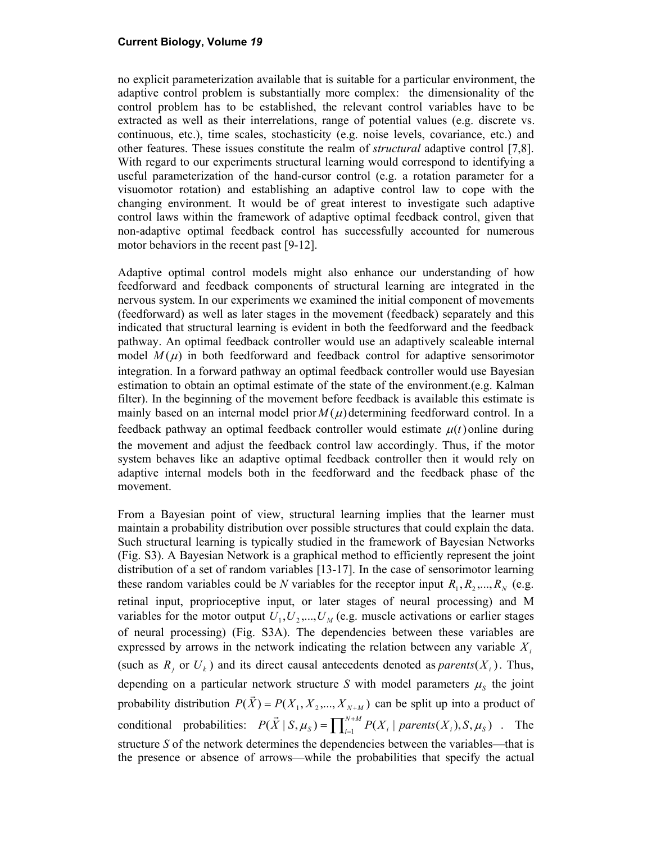no explicit parameterization available that is suitable for a particular environment, the adaptive control problem is substantially more complex: the dimensionality of the control problem has to be established, the relevant control variables have to be extracted as well as their interrelations, range of potential values (e.g. discrete vs. continuous, etc.), time scales, stochasticity (e.g. noise levels, covariance, etc.) and other features. These issues constitute the realm of *structural* adaptive control [7,8]. With regard to our experiments structural learning would correspond to identifying a useful parameterization of the hand-cursor control (e.g. a rotation parameter for a visuomotor rotation) and establishing an adaptive control law to cope with the changing environment. It would be of great interest to investigate such adaptive control laws within the framework of adaptive optimal feedback control, given that non-adaptive optimal feedback control has successfully accounted for numerous motor behaviors in the recent past [9-12].

Adaptive optimal control models might also enhance our understanding of how feedforward and feedback components of structural learning are integrated in the nervous system. In our experiments we examined the initial component of movements (feedforward) as well as later stages in the movement (feedback) separately and this indicated that structural learning is evident in both the feedforward and the feedback pathway. An optimal feedback controller would use an adaptively scaleable internal model  $M(\mu)$  in both feedforward and feedback control for adaptive sensorimotor integration. In a forward pathway an optimal feedback controller would use Bayesian estimation to obtain an optimal estimate of the state of the environment.(e.g. Kalman filter). In the beginning of the movement before feedback is available this estimate is mainly based on an internal model prior  $M(\mu)$  determining feedforward control. In a feedback pathway an optimal feedback controller would estimate  $\mu(t)$  online during the movement and adjust the feedback control law accordingly. Thus, if the motor system behaves like an adaptive optimal feedback controller then it would rely on adaptive internal models both in the feedforward and the feedback phase of the movement.

From a Bayesian point of view, structural learning implies that the learner must maintain a probability distribution over possible structures that could explain the data. Such structural learning is typically studied in the framework of Bayesian Networks (Fig. S3). A Bayesian Network is a graphical method to efficiently represent the joint distribution of a set of random variables [13-17]. In the case of sensorimotor learning these random variables could be *N* variables for the receptor input  $R_1, R_2, ..., R_N$  (e.g. retinal input, proprioceptive input, or later stages of neural processing) and M variables for the motor output  $U_1, U_2, ..., U_M$  (e.g. muscle activations or earlier stages of neural processing) (Fig. S3A). The dependencies between these variables are expressed by arrows in the network indicating the relation between any variable  $X_i$ (such as  $R_i$  or  $U_k$ ) and its direct causal antecedents denoted as *parents*  $(X_i)$ . Thus, depending on a particular network structure *S* with model parameters  $\mu_s$  the joint probability distribution  $P(\vec{X}) = P(X_1, X_2, ..., X_{N+M})$  can be split up into a product of conditional probabilities:  $P(\vec{X} | S, \mu_S) = \prod_{i=1}^{N+M} P(X_i | parents(X_i), S, \mu_S)$ . The structure *S* of the network determines the dependencies between the variables—that is the presence or absence of arrows—while the probabilities that specify the actual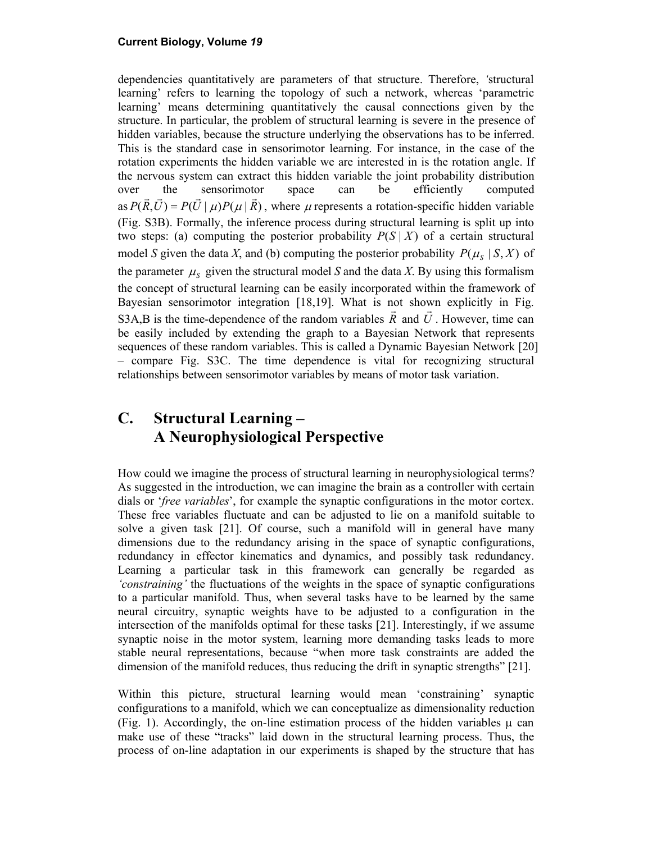dependencies quantitatively are parameters of that structure. Therefore, *'*structural learning' refers to learning the topology of such a network, whereas 'parametric learning' means determining quantitatively the causal connections given by the structure. In particular, the problem of structural learning is severe in the presence of hidden variables, because the structure underlying the observations has to be inferred. This is the standard case in sensorimotor learning. For instance, in the case of the rotation experiments the hidden variable we are interested in is the rotation angle. If the nervous system can extract this hidden variable the joint probability distribution over the sensorimotor space can be efficiently computed as  $P(\vec{R}, \vec{U}) = P(\vec{U} | \mu)P(\mu | \vec{R})$ , where  $\mu$  represents a rotation-specific hidden variable (Fig. S3B). Formally, the inference process during structural learning is split up into two steps: (a) computing the posterior probability  $P(S | X)$  of a certain structural model *S* given the data *X*, and (b) computing the posterior probability  $P(\mu_s | S, X)$  of the parameter  $\mu_s$  given the structural model *S* and the data *X*. By using this formalism the concept of structural learning can be easily incorporated within the framework of Bayesian sensorimotor integration [18,19]. What is not shown explicitly in Fig. S3A,B is the time-dependence of the random variables  $\vec{R}$  and  $\vec{U}$ . However, time can be easily included by extending the graph to a Bayesian Network that represents sequences of these random variables. This is called a Dynamic Bayesian Network [20] – compare Fig. S3C. The time dependence is vital for recognizing structural relationships between sensorimotor variables by means of motor task variation.

## **C. Structural Learning – A Neurophysiological Perspective**

How could we imagine the process of structural learning in neurophysiological terms? As suggested in the introduction, we can imagine the brain as a controller with certain dials or '*free variables*', for example the synaptic configurations in the motor cortex. These free variables fluctuate and can be adjusted to lie on a manifold suitable to solve a given task [21]. Of course, such a manifold will in general have many dimensions due to the redundancy arising in the space of synaptic configurations, redundancy in effector kinematics and dynamics, and possibly task redundancy. Learning a particular task in this framework can generally be regarded as *'constraining'* the fluctuations of the weights in the space of synaptic configurations to a particular manifold. Thus, when several tasks have to be learned by the same neural circuitry, synaptic weights have to be adjusted to a configuration in the intersection of the manifolds optimal for these tasks [21]. Interestingly, if we assume synaptic noise in the motor system, learning more demanding tasks leads to more stable neural representations, because "when more task constraints are added the dimension of the manifold reduces, thus reducing the drift in synaptic strengths" [21].

Within this picture, structural learning would mean 'constraining' synaptic configurations to a manifold, which we can conceptualize as dimensionality reduction (Fig. 1). Accordingly, the on-line estimation process of the hidden variables  $\mu$  can make use of these "tracks" laid down in the structural learning process. Thus, the process of on-line adaptation in our experiments is shaped by the structure that has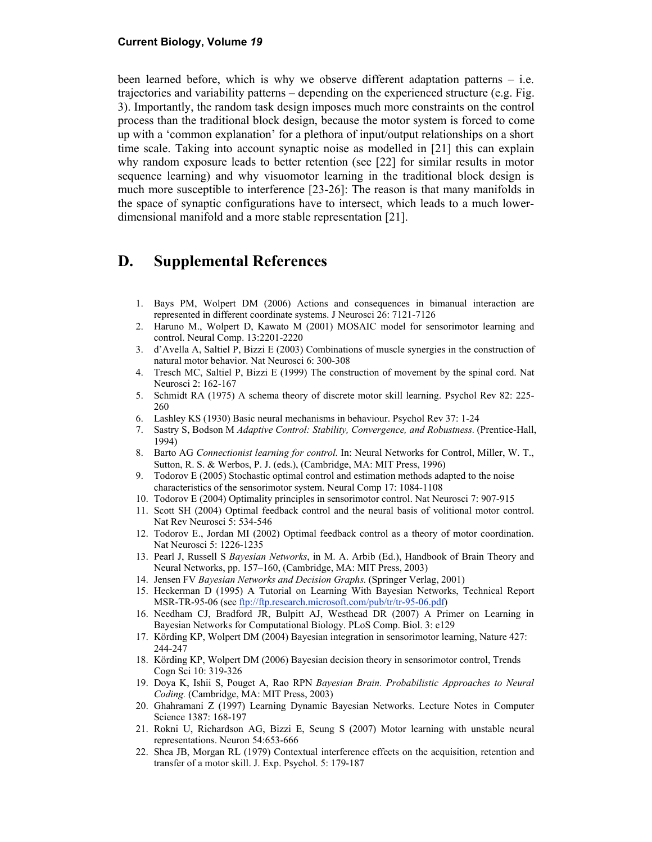been learned before, which is why we observe different adaptation patterns – i.e. trajectories and variability patterns – depending on the experienced structure (e.g. Fig. 3). Importantly, the random task design imposes much more constraints on the control process than the traditional block design, because the motor system is forced to come up with a 'common explanation' for a plethora of input/output relationships on a short time scale. Taking into account synaptic noise as modelled in [21] this can explain why random exposure leads to better retention (see [22] for similar results in motor sequence learning) and why visuomotor learning in the traditional block design is much more susceptible to interference [23-26]: The reason is that many manifolds in the space of synaptic configurations have to intersect, which leads to a much lowerdimensional manifold and a more stable representation [21].

### **D. Supplemental References**

- 1. Bays PM, Wolpert DM (2006) Actions and consequences in bimanual interaction are represented in different coordinate systems. J Neurosci 26: 7121-7126
- 2. Haruno M., Wolpert D, Kawato M (2001) MOSAIC model for sensorimotor learning and control. Neural Comp. 13:2201-2220
- 3. d'Avella A, Saltiel P, Bizzi E (2003) Combinations of muscle synergies in the construction of natural motor behavior. Nat Neurosci 6: 300-308
- 4. Tresch MC, Saltiel P, Bizzi E (1999) The construction of movement by the spinal cord. Nat Neurosci 2: 162-167
- 5. Schmidt RA (1975) A schema theory of discrete motor skill learning. Psychol Rev 82: 225- 260
- 6. Lashley KS (1930) Basic neural mechanisms in behaviour. Psychol Rev 37: 1-24
- 7. Sastry S, Bodson M *Adaptive Control: Stability, Convergence, and Robustness.* (Prentice-Hall, 1994)
- 8. Barto AG *Connectionist learning for control.* In: Neural Networks for Control, Miller, W. T., Sutton, R. S. & Werbos, P. J. (eds.), (Cambridge, MA: MIT Press, 1996)
- 9. Todorov E (2005) Stochastic optimal control and estimation methods adapted to the noise characteristics of the sensorimotor system. Neural Comp 17: 1084-1108
- 10. Todorov E (2004) Optimality principles in sensorimotor control. Nat Neurosci 7: 907-915
- 11. Scott SH (2004) Optimal feedback control and the neural basis of volitional motor control. Nat Rev Neurosci 5: 534-546
- 12. Todorov E., Jordan MI (2002) Optimal feedback control as a theory of motor coordination. Nat Neurosci 5: 1226-1235
- 13. Pearl J, Russell S *Bayesian Networks*, in M. A. Arbib (Ed.), Handbook of Brain Theory and Neural Networks, pp. 157–160, (Cambridge, MA: MIT Press, 2003)
- 14. Jensen FV *Bayesian Networks and Decision Graphs.* (Springer Verlag, 2001)
- 15. Heckerman D (1995) A Tutorial on Learning With Bayesian Networks, Technical Report MSR-TR-95-06 (see ftp://ftp.research.microsoft.com/pub/tr/tr-95-06.pdf)
- 16. Needham CJ, Bradford JR, Bulpitt AJ, Westhead DR (2007) A Primer on Learning in Bayesian Networks for Computational Biology. PLoS Comp. Biol. 3: e129
- 17. Körding KP, Wolpert DM (2004) Bayesian integration in sensorimotor learning, Nature 427: 244-247
- 18. Körding KP, Wolpert DM (2006) Bayesian decision theory in sensorimotor control, Trends Cogn Sci 10: 319-326
- 19. Doya K, Ishii S, Pouget A, Rao RPN *Bayesian Brain. Probabilistic Approaches to Neural Coding.* (Cambridge, MA: MIT Press, 2003)
- 20. Ghahramani Z (1997) Learning Dynamic Bayesian Networks. Lecture Notes in Computer Science 1387: 168-197
- 21. Rokni U, Richardson AG, Bizzi E, Seung S (2007) Motor learning with unstable neural representations. Neuron 54:653-666
- 22. Shea JB, Morgan RL (1979) Contextual interference effects on the acquisition, retention and transfer of a motor skill. J. Exp. Psychol. 5: 179-187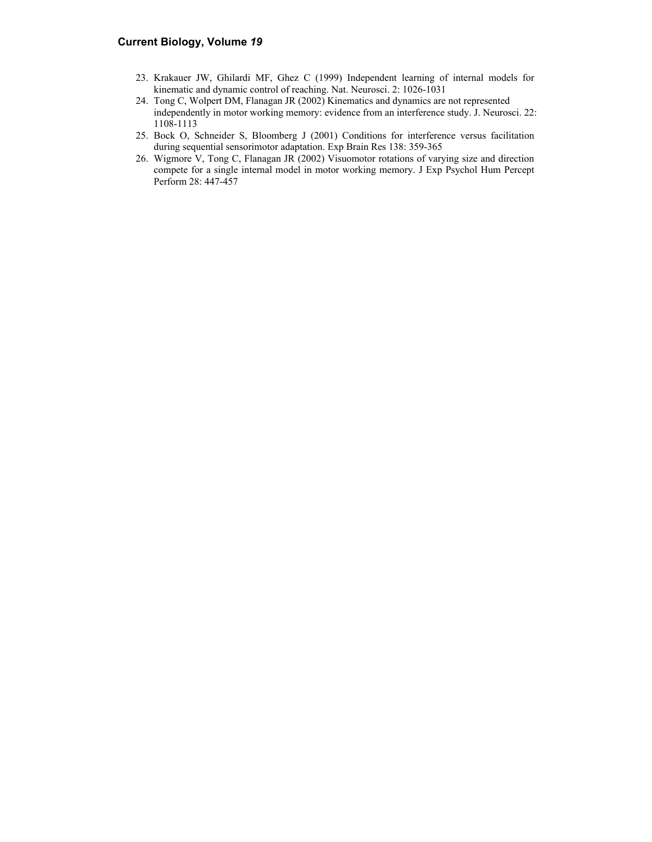- 23. Krakauer JW, Ghilardi MF, Ghez C (1999) Independent learning of internal models for kinematic and dynamic control of reaching. Nat. Neurosci. 2: 1026-1031
- 24. Tong C, Wolpert DM, Flanagan JR (2002) Kinematics and dynamics are not represented independently in motor working memory: evidence from an interference study. J. Neurosci. 22: 1108-1113
- 25. Bock O, Schneider S, Bloomberg J (2001) Conditions for interference versus facilitation during sequential sensorimotor adaptation. Exp Brain Res 138: 359-365
- 26. Wigmore V, Tong C, Flanagan JR (2002) Visuomotor rotations of varying size and direction compete for a single internal model in motor working memory. J Exp Psychol Hum Percept Perform 28: 447-457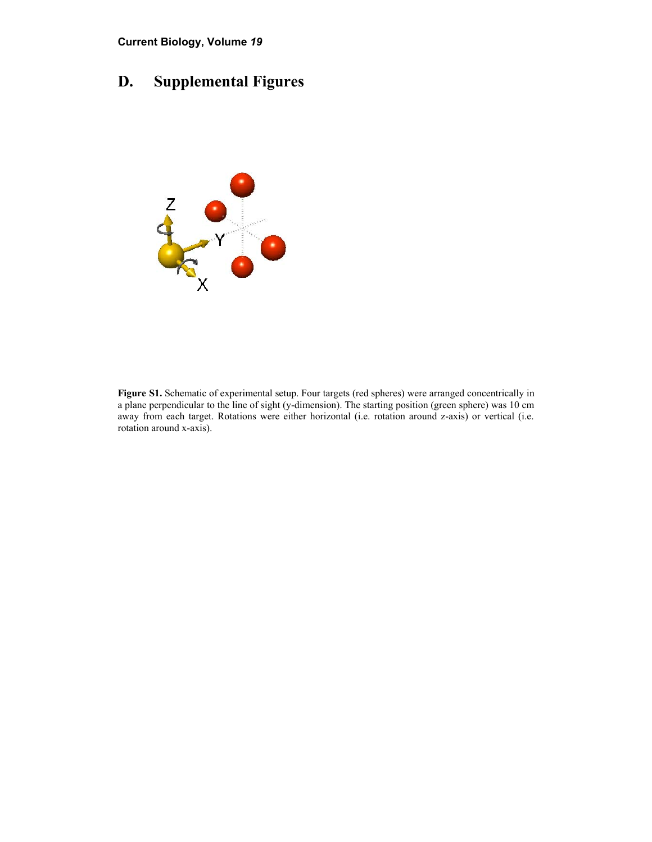## **D. Supplemental Figures**



**Figure S1.** Schematic of experimental setup. Four targets (red spheres) were arranged concentrically in a plane perpendicular to the line of sight (y-dimension). The starting position (green sphere) was 10 cm away from each target. Rotations were either horizontal (i.e. rotation around z-axis) or vertical (i.e. rotation around x-axis).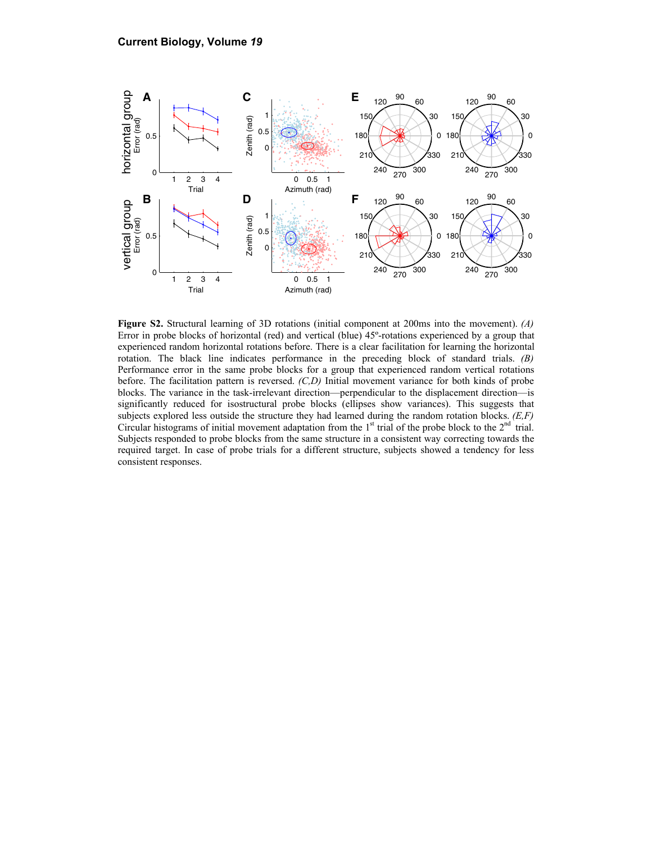

**Figure S2.** Structural learning of 3D rotations (initial component at 200ms into the movement). *(A)*  Error in probe blocks of horizontal (red) and vertical (blue) 45º-rotations experienced by a group that experienced random horizontal rotations before. There is a clear facilitation for learning the horizontal rotation. The black line indicates performance in the preceding block of standard trials. *(B)*  Performance error in the same probe blocks for a group that experienced random vertical rotations before. The facilitation pattern is reversed. *(C,D)* Initial movement variance for both kinds of probe blocks. The variance in the task-irrelevant direction—perpendicular to the displacement direction—is significantly reduced for isostructural probe blocks (ellipses show variances). This suggests that subjects explored less outside the structure they had learned during the random rotation blocks. *(E,F)* Circular histograms of initial movement adaptation from the  $1<sup>st</sup>$  trial of the probe block to the  $2<sup>nd</sup>$  trial. Subjects responded to probe blocks from the same structure in a consistent way correcting towards the required target. In case of probe trials for a different structure, subjects showed a tendency for less consistent responses.